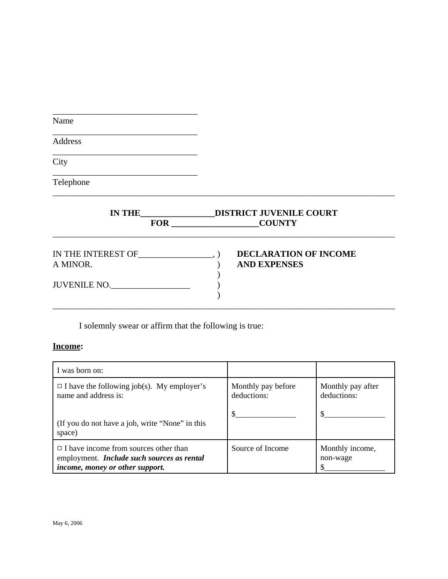| Name      |                                              |  |
|-----------|----------------------------------------------|--|
| Address   |                                              |  |
| City      |                                              |  |
| Telephone |                                              |  |
|           | IN THE DISTRICT JUVENILE COURT<br>FOR COUNTY |  |
|           |                                              |  |
|           | <b>DECLARATION OF INCOME</b>                 |  |
| A MINOR.  | <b>AND EXPENSES</b>                          |  |

I solemnly swear or affirm that the following is true:

# **Income:**

| I was born on:                                                                                                                |                                   |                                  |
|-------------------------------------------------------------------------------------------------------------------------------|-----------------------------------|----------------------------------|
| $\Box$ I have the following job(s). My employer's<br>name and address is:                                                     | Monthly pay before<br>deductions: | Monthly pay after<br>deductions: |
| (If you do not have a job, write "None" in this<br>space)                                                                     |                                   |                                  |
| $\Box$ I have income from sources other than<br>employment. Include such sources as rental<br>income, money or other support. | Source of Income                  | Monthly income,<br>non-wage      |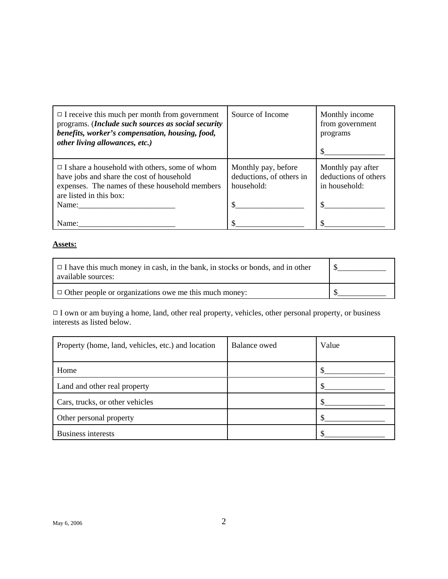| $\Box$ I receive this much per month from government<br>programs. (Include such sources as social security<br>benefits, worker's compensation, housing, food,<br>other living allowances, etc.) | Source of Income                                              | Monthly income<br>from government<br>programs              |
|-------------------------------------------------------------------------------------------------------------------------------------------------------------------------------------------------|---------------------------------------------------------------|------------------------------------------------------------|
| $\Box$ I share a household with others, some of whom<br>have jobs and share the cost of household<br>expenses. The names of these household members<br>are listed in this box:<br>Name:         | Monthly pay, before<br>deductions, of others in<br>household: | Monthly pay after<br>deductions of others<br>in household: |
| Name:                                                                                                                                                                                           |                                                               |                                                            |

## **Assets:**

| $\Box$ I have this much money in cash, in the bank, in stocks or bonds, and in other<br>available sources: |  |
|------------------------------------------------------------------------------------------------------------|--|
| $\Box$ Other people or organizations owe me this much money:                                               |  |

 $\Box$  I own or am buying a home, land, other real property, vehicles, other personal property, or business interests as listed below.

| Property (home, land, vehicles, etc.) and location | Balance owed | Value |
|----------------------------------------------------|--------------|-------|
| Home                                               |              |       |
| Land and other real property                       |              |       |
| Cars, trucks, or other vehicles                    |              |       |
| Other personal property                            |              |       |
| <b>Business interests</b>                          |              |       |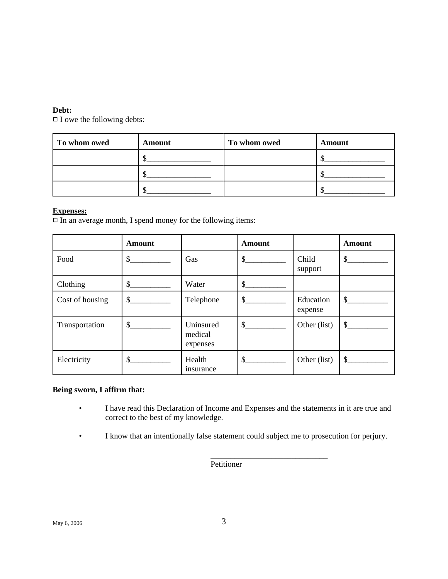#### **Debt:**

 $\overline{\Box}$  owe the following debts:

| To whom owed | Amount | To whom owed | Amount |
|--------------|--------|--------------|--------|
|              |        |              |        |
|              |        |              |        |
|              |        |              |        |

### **Expenses:**

 $\Box$  In an average month, I spend money for the following items:

|                 | Amount            |                                  | <b>Amount</b>                                                                                                                                                                                                                                                                                                                                                                |                      | Amount        |
|-----------------|-------------------|----------------------------------|------------------------------------------------------------------------------------------------------------------------------------------------------------------------------------------------------------------------------------------------------------------------------------------------------------------------------------------------------------------------------|----------------------|---------------|
| Food            | \$                | Gas                              | $\mathcal{S}$                                                                                                                                                                                                                                                                                                                                                                | Child<br>support     | $\frac{1}{2}$ |
| Clothing        | $\mathcal{S}$     | Water                            | $\mathbb{S}$                                                                                                                                                                                                                                                                                                                                                                 |                      |               |
| Cost of housing | $\mathcal{S}_{-}$ | Telephone                        | $\frac{1}{2}$                                                                                                                                                                                                                                                                                                                                                                | Education<br>expense | $\mathcal{S}$ |
| Transportation  | \$                | Uninsured<br>medical<br>expenses | $\frac{\S_{\frac{1}{2}}}{\S_{\frac{1}{2}}}{\S_{\frac{1}{2}}}{\S_{\frac{1}{2}}}{\S_{\frac{1}{2}}}{\S_{\frac{1}{2}}}{\S_{\frac{1}{2}}}{\S_{\frac{1}{2}}}{\S_{\frac{1}{2}}}{\S_{\frac{1}{2}}}{\S_{\frac{1}{2}}}{\S_{\frac{1}{2}}}{\S_{\frac{1}{2}}}{\S_{\frac{1}{2}}}{\S_{\frac{1}{2}}}{\S_{\frac{1}{2}}}{\S_{\frac{1}{2}}}{\S_{\frac{1}{2}}}{\S_{\frac{1}{2}}}{\S_{\frac{1}{2$ | Other (list)         | \$            |
| Electricity     | \$                | Health<br>insurance              | $\sim$                                                                                                                                                                                                                                                                                                                                                                       | Other (list)         | \$            |

#### **Being sworn, I affirm that:**

- I have read this Declaration of Income and Expenses and the statements in it are true and correct to the best of my knowledge.
- I know that an intentionally false statement could subject me to prosecution for perjury.

\_\_\_\_\_\_\_\_\_\_\_\_\_\_\_\_\_\_\_\_\_\_\_\_\_\_\_\_\_

**Petitioner**